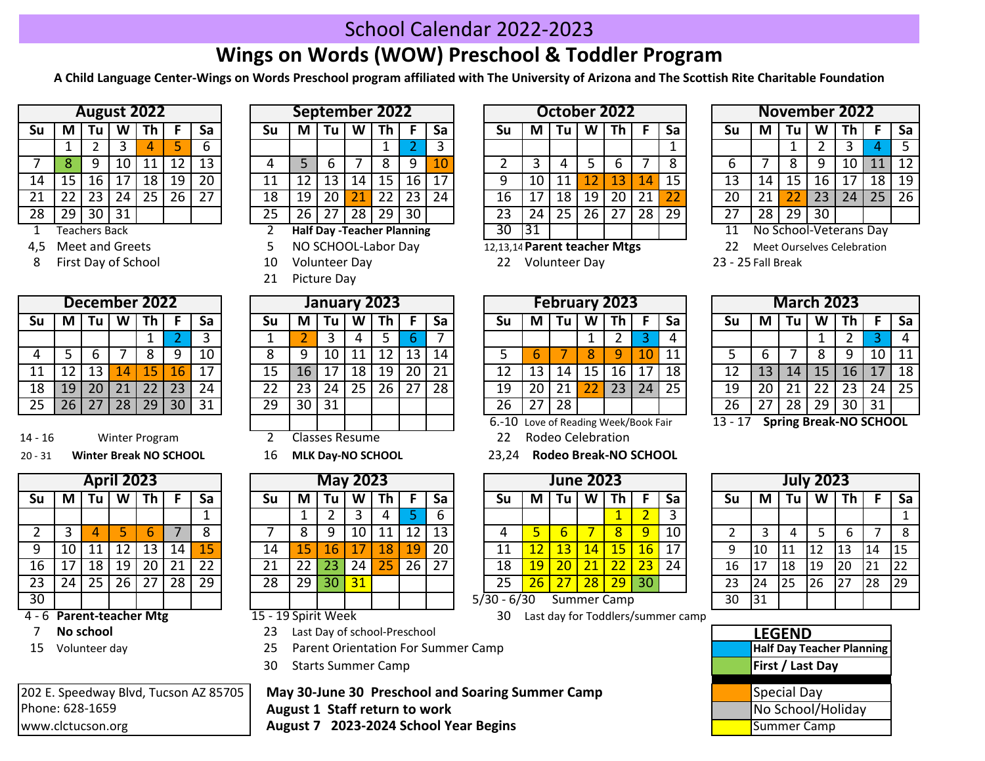## School Calendar 2022-2023

## **Wings on Words (WOW) Preschool & Toddler Program**

**A Child Language Center-Wings on Words Preschool program affiliated with The University of Arizona and The Scottish Rite Charitable Foundation**

|    |    |                  | <b>August 2022</b> |    |    |    |
|----|----|------------------|--------------------|----|----|----|
| Su | М  | Tu               | W                  | Th | F  | Sa |
|    | 1  | 2                | 3                  |    | 5  | 6  |
|    | 8  | ٩                | 10                 | 11 | 12 | 13 |
| 14 | 15 | 16               | 17                 | 18 | 19 | 20 |
| 21 | 22 | 23               | 24                 | 25 | 26 | 27 |
| 28 | 29 | 30               | 31                 |    |    |    |
| 4  |    | تامم 0 مسموط ممت |                    |    |    |    |

Meet and Greets

8 10 Volunteer Day 22 23 - 25 Volunteer Day First Day of School

|    |    |    | December 2022 |    |    |    |
|----|----|----|---------------|----|----|----|
| Su |    | Tu |               |    | F  | Sa |
|    |    |    |               |    | 2  | 3  |
| 4  | 5  | 6  |               | 8  | q  | 10 |
| 11 | 12 | 13 | 14            | 15 | 16 | 17 |
| 18 | 19 | 20 | 21            | 22 | 23 | 24 |
| 25 | 26 | 27 | 28            | 29 | 30 | 31 |

14 - 16 Winter Program 2 Classes Resume 22

## 20 - 31 **Winter Break NO SCHOOL** 16 **MLK Day-NO SCHOOL** 23,24 **Winter Break NO SCHOOL**

|                 |    |    | <b>April 2023</b> |    |                 |    |
|-----------------|----|----|-------------------|----|-----------------|----|
| Su              | М  | Tu | W                 | Th | F               | Sa |
|                 |    |    |                   |    |                 | 1  |
| $\overline{2}$  | 3  | 4  | 5                 | 6  |                 | 8  |
| 9               | 10 | 11 | 12                | 13 | 14              | 15 |
| 16              | 17 | 18 | 19                | 20 | 21              | 22 |
| $\overline{23}$ | 24 | 25 | $\overline{26}$   | 27 | $\overline{28}$ | 29 |
| $\overline{30}$ |    |    |                   |    |                 |    |

**Parent-teacher Mtg**

www.clctucson.org **August 7 2023-2024 School Year Begins** 

|    |    | August 2022 |      |    |    |    |    |    | September 2022 |    |    |    |    |       |    | October 2022 |    |    |    |    |           |    |    |    | <b>November 2022</b> |                 |    |
|----|----|-------------|------|----|----|----|----|----|----------------|----|----|----|----|-------|----|--------------|----|----|----|----|-----------|----|----|----|----------------------|-----------------|----|
| Su | M  | Tu          | W    | Τh |    | Sa | Su | М  | Τu             | W  | Τh |    | Sa | Su    | M  | Tu           | W  | Τh |    | Sa | <b>Su</b> | M  | Tu | W  | Th                   |                 | Sa |
|    |    |             |      |    |    |    |    |    |                |    |    |    |    |       |    |              |    |    |    | -  |           |    |    |    |                      |                 |    |
|    |    | ч           |      |    | 12 | 13 |    |    |                |    |    |    |    |       |    |              |    |    |    |    |           |    |    |    | 10                   | 11              | 12 |
| 14 |    | TР          |      | 18 | 19 | 20 | 11 |    | 13             | 14 | 15 | 16 |    |       |    |              |    | 13 | 14 | 15 | 13        | 14 |    | 16 |                      | 18              | 19 |
| 21 |    | 23          | 24 I | 25 | 26 | 27 | 18 | 19 | 20             |    | 22 | 23 | 24 | 16    |    | 18           | 19 | 20 | 21 |    | 20        | 21 |    | 23 | 24                   | 25 <sub>1</sub> | 26 |
| 28 | 29 | 30          | 31   |    |    |    | 25 | 26 | 27             | 28 | 29 | 30 |    | 23    | 24 | 25           | 26 | つつ | 28 | 29 | 27        | 28 | 29 | 30 |                      |                 |    |
|    |    |             |      |    |    |    |    |    |                |    |    |    |    | ----- |    |              |    |    |    |    |           |    |    |    |                      |                 |    |

- 
- 21 Picture Day

|    |                |    | January 2023 |    |    |    |
|----|----------------|----|--------------|----|----|----|
| Su | М              | Tu | W            | Th | F  | Sa |
| 1  | $\overline{2}$ | 3  | 4            | 5  | 6  |    |
| 8  | ٩              | 10 | 11           | 12 | 13 | 14 |
| 15 | 16             | 17 | 18           | 19 | 20 | 21 |
| 22 | 23             | 24 | 25           | 26 | 27 | 28 |
| 29 | 30             | 31 |              |    |    |    |
|    |                |    |              |    |    |    |

|                 |    | <b>April 2023</b>             |    |    |    |    |                            |                 | <b>May 2023</b> |      |     |    |    |               |         | <b>June 2023</b> |              |                 |    |                                    |    |                                         |    | <b>July 2023</b> |     |     |              |
|-----------------|----|-------------------------------|----|----|----|----|----------------------------|-----------------|-----------------|------|-----|----|----|---------------|---------|------------------|--------------|-----------------|----|------------------------------------|----|-----------------------------------------|----|------------------|-----|-----|--------------|
| Su              | М  | Tu                            | W  | Th |    | Sa | Su                         | М               | Tu              | W    | Th. |    | Sa | Su            | М       | Tu               | W            | Th              | E. | Sa                                 | Sυ | M                                       | Tu | W                | Th  |     | Sa           |
|                 |    |                               |    |    |    |    |                            |                 |                 |      |     |    |    |               |         |                  |              |                 |    |                                    |    |                                         |    |                  |     |     |              |
| າ               |    |                               |    |    |    |    |                            |                 |                 |      | 11  | 12 | 13 |               |         |                  |              | 8 <sup>1</sup>  | 9  | 10                                 |    |                                         |    |                  |     |     | -8           |
| 9               | 10 |                               |    | 13 | 14 | 15 | 14                         | 15              | 16              |      | 18  | 19 | 20 | 11            |         | 13               | $14^{\circ}$ | 15 <sup>1</sup> | 16 | 17                                 |    | 10                                      | 11 | 12               | 13  | 114 | 115          |
| 16              |    | 18                            | 19 | 20 | 21 | 22 | 21                         |                 | 23              | 24 I | 25  | 26 | 27 | 18            | q       |                  |              |                 | 23 | 24                                 | 16 |                                         | 18 | 119              | 20  | 21  | 22           |
| 23              | 24 | 25                            | 26 | 27 | 28 | 29 | 28                         | 29 <sub>1</sub> | 30              | 31   |     |    |    | 25            | $26 \,$ |                  | 28           | 29              | 30 |                                    | 23 | 24                                      | 25 | 126              | 127 | 28  | $ 29\rangle$ |
| $\overline{30}$ |    |                               |    |    |    |    |                            |                 |                 |      |     |    |    | $5/30 - 6/30$ |         |                  |              | Summer Camp     |    |                                    | 30 | $\begin{array}{c} \n 31 \n \end{array}$ |    |                  |     |     |              |
|                 |    | <b>6. Doront togchor Mtg.</b> |    |    |    |    | $15.10$ Cnirit <i>Mook</i> |                 |                 |      |     |    |    | o C           |         |                  |              |                 |    | Last day for Toddlers (summer samp |    |                                         |    |                  |     |     |              |

## 15 - 19 Spirit Week

- **7** No school **LEGEND** 23 Last Day of school-Preschool **LAST 23 Last Day of school-Preschool**
- 15 Volunteer day 25 Parent Orientation For Summer Camp
	- 30 Starts Summer Camp

202 E. Speedway Blvd, Tucson AZ 85705 | May 30-June 30 Preschool and Soaring Summer Camp National May Special Day Phone: 628-1659 **Notair Communist Communist Communist Communist Communist Communist Communist Communist Communist Communist Phonoschool/Holiday** 

|    |                     |                 |    | August 2022 |    |    |    |    | September 2022                    |    |       |    |    |                              |    |    |    | October 2022 |                 |    |    |                            | November 2022 |    |    |           |
|----|---------------------|-----------------|----|-------------|----|----|----|----|-----------------------------------|----|-------|----|----|------------------------------|----|----|----|--------------|-----------------|----|----|----------------------------|---------------|----|----|-----------|
| Su | М                   | Tu              | W  | Th          |    | Sa | Su | M  | Tu                                | W  | Τh    |    | Sa | Su                           | М  | Τu | W  | Th           |                 | Sa | Su | М                          | Τu            | W  | Th |           |
|    |                     |                 |    |             |    |    |    |    |                                   |    |       |    |    |                              |    |    |    |              |                 |    |    |                            |               |    |    | 4         |
|    |                     |                 | 10 |             | 12 | 13 |    |    |                                   |    |       |    |    |                              |    |    |    |              |                 |    |    |                            |               |    | 10 | 11        |
| 14 | 15                  | 16              |    | 18          | 19 | 20 | 11 |    | 13                                | 14 | 15    | 16 |    |                              | 10 |    |    | 13           | 14              | 15 | 13 | 14                         |               | L6 |    | 18        |
| 21 |                     | 23              | 24 | 25          | 26 | 27 | 18 | 19 | 20                                |    | 22    | 23 | 24 | 16                           |    | 18 | 19 | 20           | 21              |    | 20 |                            |               | 23 |    | $24$   25 |
| 28 | 29                  | 30 <sup>1</sup> | 31 |             |    |    | 25 | 26 | 27                                |    | 28 29 | 30 |    | 23                           | 24 | 25 | 26 | 27           | 28 <sub>1</sub> | 29 | 27 | 28                         | 29            | 30 |    |           |
|    |                     | Teachers Back   |    |             |    |    |    |    | <b>Half Day -Teacher Planning</b> |    |       |    |    | 30                           | 31 |    |    |              |                 |    |    | No School-Veterans Day     |               |    |    |           |
|    | 4,5 Meet and Greets |                 |    |             |    |    |    |    | NO SCHOOL-Labor Day               |    |       |    |    | 12,13,14 Parent teacher Mtgs |    |    |    |              |                 |    |    | Meet Ourselves Celebration |               |    |    |           |

|    |    |    | November 2022          |    |    |    |
|----|----|----|------------------------|----|----|----|
| Su | м  | Tu | W                      | Th | F  | Sa |
|    |    | 1  | 2                      | 3  | 4  | 5  |
| 6  |    | 8  | ٩                      | 10 | 11 | 12 |
| 13 | 14 | 15 | 16                     | 17 | 18 | 19 |
| 20 | 21 | 22 | 23                     | 24 | 25 | 26 |
| 27 | 28 | 29 | 30                     |    |    |    |
| 11 |    |    | No School-Veterans Dav |    |    |    |

|    |    |     |     | December 2022 |    |    |           |    |     | January 2023 |    |    |     |                  |          |                             | <b>February 2023</b> |                   |    |    |                          |    |    | <b>March 2023</b> |                                                 |      |    |
|----|----|-----|-----|---------------|----|----|-----------|----|-----|--------------|----|----|-----|------------------|----------|-----------------------------|----------------------|-------------------|----|----|--------------------------|----|----|-------------------|-------------------------------------------------|------|----|
| Su | M  | l u | W   | ın            |    | Sa | <b>Su</b> | M  | ı u |              |    |    | Sa  | Su               | ΙVΙ      | Ιu                          |                      |                   |    | Sa | Su                       | M  |    | w                 | ۱h                                              |      | Sa |
|    |    |     |     |               |    |    |           |    |     |              |    |    |     |                  |          |                             |                      |                   |    |    |                          |    |    |                   |                                                 |      |    |
| 4  |    |     |     |               |    | 10 |           |    |     |              |    | 13 | 14  |                  |          |                             |                      |                   |    | 11 |                          |    |    |                   |                                                 | 10   | 11 |
| 11 |    | ⊥3⊹ | 4   |               | 16 |    | 15        |    |     | 18           | 19 | 20 | -21 | 12               |          | 14                          | נ!                   | 16                |    | 18 |                          | 13 | 14 | 15                | 16                                              |      | 18 |
| 18 | 19 | 20  | ว 1 | 22            | 23 | 24 | 22        | 23 | 24  | 25           | 26 |    | 28  | 19               | 20       | 21                          |                      | 23                | 24 | 25 | 19                       | 20 |    | 22                | 23                                              | 24 I | 25 |
| 25 | 26 | 27  | 28  | 29            | 30 | 31 | 29        | 30 | 31  |              |    |    |     | 26               | <u>.</u> | 28                          |                      |                   |    |    | 26                       | 27 | 28 | 29                | 30                                              | 31   |    |
|    |    |     |     |               |    |    |           |    |     |              |    |    |     | $\sim$ 40 $\sim$ |          | $\sim$ $\sim$ $\sim$ $\sim$ |                      | $\cdots$ $\cdots$ |    |    | $\overline{A}$<br>$\sim$ |    |    |                   | $C_{\text{total}} = D_{\text{total}}$ MO COUOOL |      |    |

|    |    |    | <b>March 2023</b> |                |    |    |
|----|----|----|-------------------|----------------|----|----|
| Su | М  | Tu | W                 | Th             | F  | Sa |
|    |    |    | 1                 | $\overline{2}$ | 3  | 4  |
| 5  | 6  |    | 8                 | 9              | 10 | 11 |
| 12 | 13 | 14 | 15                | 16             | 17 | 18 |
| 19 | 20 | 21 | 22                | 23             | 24 | 25 |
| 26 | 27 | 28 | 29                | 30             | 31 |    |

 $23 - 25$  Fall Break

6.-10 Love of Reading Week/Book Fair 13 - 17

22 Rodeo Celebration

23.24 Rodeo Break-NO SCHOOL

|            |    | <b>June 2023</b> |    |                    |                |    |
|------------|----|------------------|----|--------------------|----------------|----|
| Su         | М  | Tu               | W  | Th                 | F              | Sa |
|            |    |                  |    |                    | $\overline{2}$ | 3  |
| 4          | 5  | 6                |    | 8                  | q              | 10 |
| 11         | 12 | 13               | 14 | 15                 | 16             | 17 |
| 18         | 19 | $\overline{20}$  | 21 | 22                 | 23             | 24 |
| 25         | 26 | 27               | 28 | 29                 | 30             |    |
| /30 - 6/30 |    |                  |    | <b>Summer Camp</b> |                |    |

30 Last day for Toddlers/summer camp

13 - 17 **Spring Break-NO SCHOOL** 

|                 |    |           | <b>July 2023</b> |    |    |                 |
|-----------------|----|-----------|------------------|----|----|-----------------|
| Su              | M  | <b>Tu</b> | W                | Th | F  | Sa              |
|                 |    |           |                  |    |    | 1               |
| 2               | 3  | 4         | 5                | 6  | 7  | 8               |
| 9               | 10 | 11        | 12               | 13 | 14 | 15              |
| 16              | 17 | 18        | 19               | 20 | 21 | 22              |
| 23              | 24 | 25        | 26               | 27 | 28 | $\overline{29}$ |
| $\overline{30}$ | 31 |           |                  |    |    |                 |

| <b>LEGEND</b> |                           |
|---------------|---------------------------|
|               | Half Day Teacher Planning |
|               | <b>First / Last Day</b>   |
|               |                           |
|               | Special Day               |
|               | No School/Holiday         |
|               | Summer Camp               |